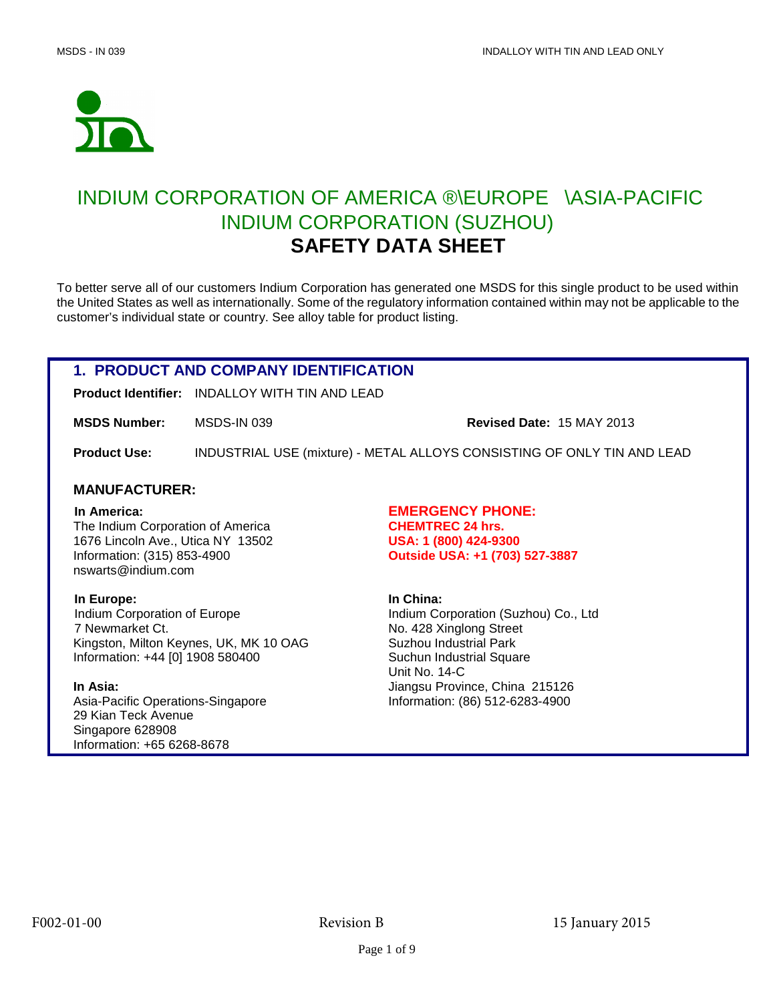

# INDIUM CORPORATION OF AMERICA ®\EUROPE®\ASIA-PACIFIC® INDIUM CORPORATION (SUZHOU) **SAFETY DATA SHEET**

To better serve all of our customers Indium Corporation has generated one MSDS for this single product to be used within the United States as well as internationally. Some of the regulatory information contained within may not be applicable to the customer's individual state or country. See alloy table for product listing.

## **1. PRODUCT AND COMPANY IDENTIFICATION**

**Product Identifier:** INDALLOY WITH TIN AND LEAD

**MSDS Number:** MSDS-IN 039 **Revised Date:** 15 MAY 2013

**Product Use:** INDUSTRIAL USE (mixture) - METAL ALLOYS CONSISTING OF ONLY TIN AND LEAD

### **MANUFACTURER:**

The Indium Corporation of America **CHEMTREC 24 hrs.** 1676 Lincoln Ave., Utica NY 13502 **USA: 1 (800) 424-9300** Information: (315) 853-4900 **Outside USA: +1 (703) 527-3887**  nswarts@indium.com

**In Europe: In China: In China: In China: Indium Corporation of Europe Indium Co** 7 Newmarket Ct. No. 428 Xinglong Street Kingston, Milton Keynes, UK, MK 10 OAG Suzhou Industrial Park Information: +44 [0] 1908 580400 Suchun Industrial Square

Asia-Pacific Operations-Singapore Information: (86) 512-6283-4900 29 Kian Teck Avenue Singapore 628908 Information: +65 6268-8678

 **In America: EMERGENCY PHONE:**

**Indium Corporation (Suzhou) Co., Ltd** Unit No. 14-C **In Asia:** Jiangsu Province, China 215126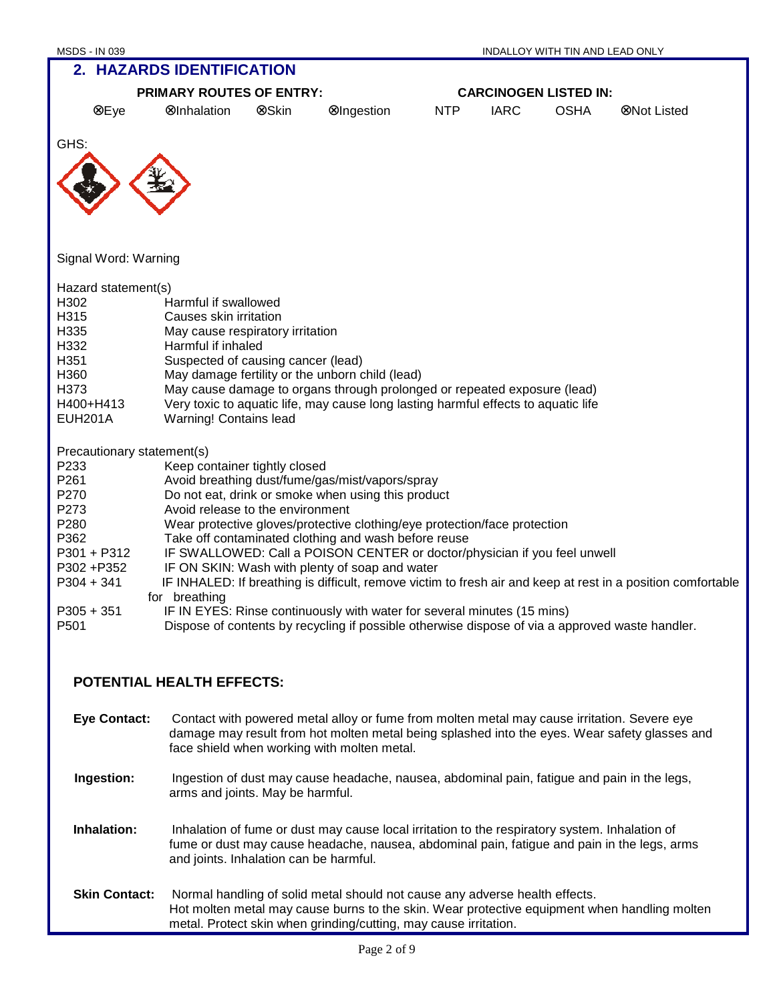| <b>PRIMARY ROUTES OF ENTRY:</b> |                                    |       |                                                                                                 | <b>CARCINOGEN LISTED IN:</b> |             |             |                                                                                                              |
|---------------------------------|------------------------------------|-------|-------------------------------------------------------------------------------------------------|------------------------------|-------------|-------------|--------------------------------------------------------------------------------------------------------------|
| ⊗Eye                            | <b>ØInhalation</b>                 | ⊗Skin | ⊗Ingestion                                                                                      | <b>NTP</b>                   | <b>IARC</b> | <b>OSHA</b> | ⊗Not Listed                                                                                                  |
| GHS:                            |                                    |       |                                                                                                 |                              |             |             |                                                                                                              |
|                                 |                                    |       |                                                                                                 |                              |             |             |                                                                                                              |
|                                 |                                    |       |                                                                                                 |                              |             |             |                                                                                                              |
|                                 |                                    |       |                                                                                                 |                              |             |             |                                                                                                              |
| Signal Word: Warning            |                                    |       |                                                                                                 |                              |             |             |                                                                                                              |
| Hazard statement(s)             |                                    |       |                                                                                                 |                              |             |             |                                                                                                              |
| H302                            | Harmful if swallowed               |       |                                                                                                 |                              |             |             |                                                                                                              |
| H315                            | Causes skin irritation             |       |                                                                                                 |                              |             |             |                                                                                                              |
| H335                            | May cause respiratory irritation   |       |                                                                                                 |                              |             |             |                                                                                                              |
| H332                            | Harmful if inhaled                 |       |                                                                                                 |                              |             |             |                                                                                                              |
| H351                            | Suspected of causing cancer (lead) |       |                                                                                                 |                              |             |             |                                                                                                              |
| H360                            |                                    |       | May damage fertility or the unborn child (lead)                                                 |                              |             |             |                                                                                                              |
| H373                            |                                    |       | May cause damage to organs through prolonged or repeated exposure (lead)                        |                              |             |             |                                                                                                              |
| H400+H413                       |                                    |       | Very toxic to aquatic life, may cause long lasting harmful effects to aquatic life              |                              |             |             |                                                                                                              |
| <b>EUH201A</b>                  | Warning! Contains lead             |       |                                                                                                 |                              |             |             |                                                                                                              |
| Precautionary statement(s)      |                                    |       |                                                                                                 |                              |             |             |                                                                                                              |
| P233                            | Keep container tightly closed      |       |                                                                                                 |                              |             |             |                                                                                                              |
| P261                            |                                    |       | Avoid breathing dust/fume/gas/mist/vapors/spray                                                 |                              |             |             |                                                                                                              |
| P270                            |                                    |       | Do not eat, drink or smoke when using this product                                              |                              |             |             |                                                                                                              |
| P273                            | Avoid release to the environment   |       |                                                                                                 |                              |             |             |                                                                                                              |
| P280                            |                                    |       | Wear protective gloves/protective clothing/eye protection/face protection                       |                              |             |             |                                                                                                              |
| P362                            |                                    |       | Take off contaminated clothing and wash before reuse                                            |                              |             |             |                                                                                                              |
| P301 + P312                     |                                    |       | IF SWALLOWED: Call a POISON CENTER or doctor/physician if you feel unwell                       |                              |             |             |                                                                                                              |
| P302+P352                       |                                    |       | IF ON SKIN: Wash with plenty of soap and water                                                  |                              |             |             |                                                                                                              |
| $P304 + 341$                    |                                    |       |                                                                                                 |                              |             |             | IF INHALED: If breathing is difficult, remove victim to fresh air and keep at rest in a position comfortable |
|                                 | for breathing                      |       |                                                                                                 |                              |             |             |                                                                                                              |
| $P305 + 351$                    |                                    |       | IF IN EYES: Rinse continuously with water for several minutes (15 mins)                         |                              |             |             |                                                                                                              |
| P501                            |                                    |       | Dispose of contents by recycling if possible otherwise dispose of via a approved waste handler. |                              |             |             |                                                                                                              |
|                                 |                                    |       |                                                                                                 |                              |             |             |                                                                                                              |

## **POTENTIAL HEALTH EFFECTS:**

**Eye Contact:** Contact with powered metal alloy or fume from molten metal may cause irritation. Severe eye damage may result from hot molten metal being splashed into the eyes. Wear safety glasses and face shield when working with molten metal.  **Ingestion:** Ingestion of dust may cause headache, nausea, abdominal pain, fatigue and pain in the legs, arms and joints. May be harmful. **Inhalation:** Inhalation of fume or dust may cause local irritation to the respiratory system. Inhalation of fume or dust may cause headache, nausea, abdominal pain, fatigue and pain in the legs, arms and joints. Inhalation can be harmful. **Skin Contact:** Normal handling of solid metal should not cause any adverse health effects. Hot molten metal may cause burns to the skin. Wear protective equipment when handling molten metal. Protect skin when grinding/cutting, may cause irritation.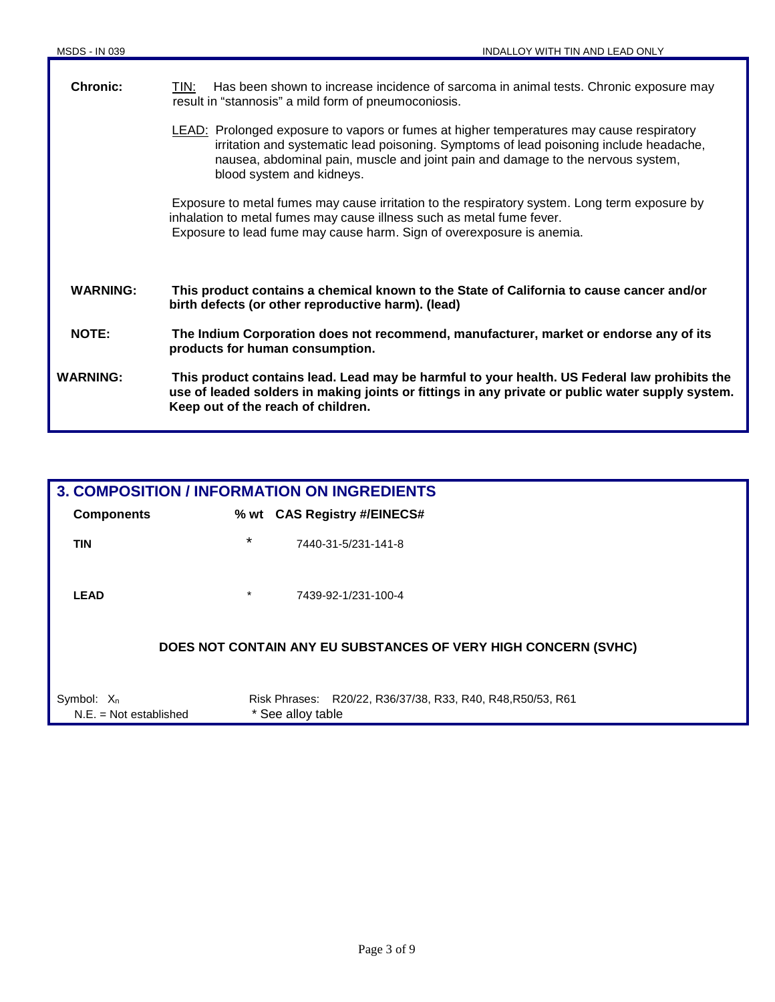| <b>Chronic:</b> | Has been shown to increase incidence of sarcoma in animal tests. Chronic exposure may<br>TIN:<br>result in "stannosis" a mild form of pneumoconiosis.                                                                                                                                              |
|-----------------|----------------------------------------------------------------------------------------------------------------------------------------------------------------------------------------------------------------------------------------------------------------------------------------------------|
|                 | LEAD: Prolonged exposure to vapors or fumes at higher temperatures may cause respiratory<br>irritation and systematic lead poisoning. Symptoms of lead poisoning include headache,<br>nausea, abdominal pain, muscle and joint pain and damage to the nervous system,<br>blood system and kidneys. |
|                 | Exposure to metal fumes may cause irritation to the respiratory system. Long term exposure by<br>inhalation to metal fumes may cause illness such as metal fume fever.<br>Exposure to lead fume may cause harm. Sign of overexposure is anemia.                                                    |
| <b>WARNING:</b> | This product contains a chemical known to the State of California to cause cancer and/or<br>birth defects (or other reproductive harm). (lead)                                                                                                                                                     |
| <b>NOTE:</b>    | The Indium Corporation does not recommend, manufacturer, market or endorse any of its<br>products for human consumption.                                                                                                                                                                           |
| <b>WARNING:</b> | This product contains lead. Lead may be harmful to your health. US Federal law prohibits the<br>use of leaded solders in making joints or fittings in any private or public water supply system.<br>Keep out of the reach of children.                                                             |

|                                           |         | <b>3. COMPOSITION / INFORMATION ON INGREDIENTS</b>                               |
|-------------------------------------------|---------|----------------------------------------------------------------------------------|
| <b>Components</b>                         |         | % wt CAS Registry #/EINECS#                                                      |
| <b>TIN</b>                                | $\star$ | 7440-31-5/231-141-8                                                              |
| <b>LEAD</b>                               | $\star$ | 7439-92-1/231-100-4                                                              |
|                                           |         | DOES NOT CONTAIN ANY EU SUBSTANCES OF VERY HIGH CONCERN (SVHC)                   |
| Symbol: $X_n$<br>$N.E. = Not established$ |         | Risk Phrases: R20/22, R36/37/38, R33, R40, R48, R50/53, R61<br>* See alloy table |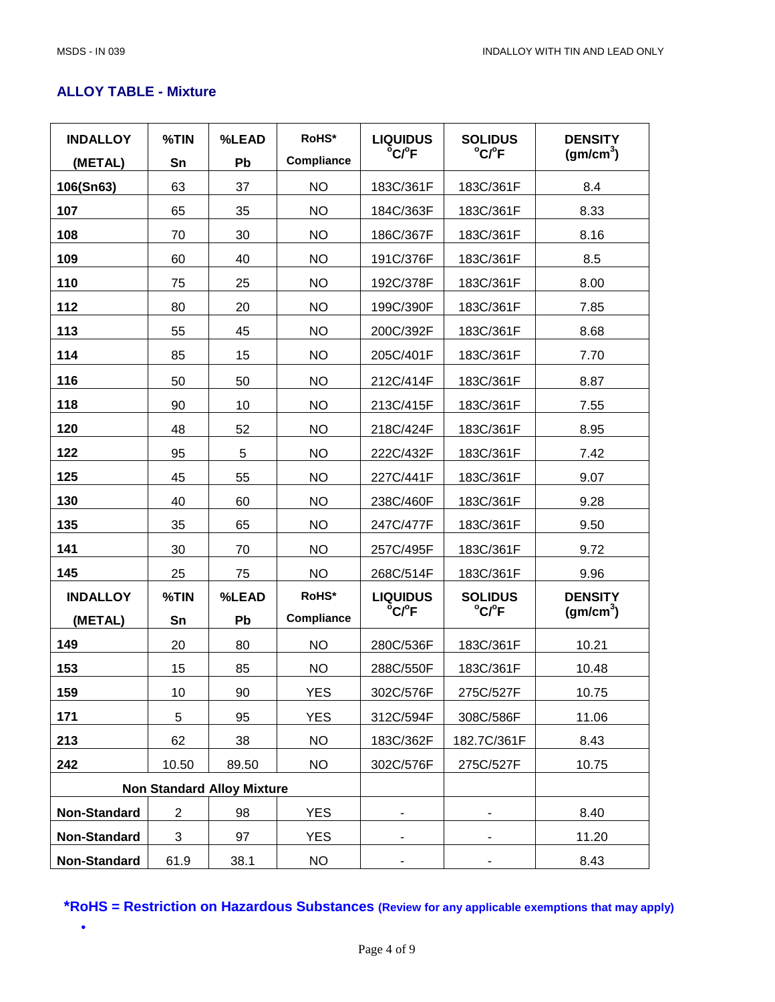## **ALLOY TABLE - Mixture**

| <b>INDALLOY</b> | %TIN           | %LEAD                             | RoHS*      | <b>LIQUIDUS</b><br>°C/°F | <b>SOLIDUS</b><br>°C/°F | <b>DENSITY</b><br>(gm/cm <sup>3</sup> ) |
|-----------------|----------------|-----------------------------------|------------|--------------------------|-------------------------|-----------------------------------------|
| (METAL)         | Sn             | Pb                                | Compliance |                          |                         |                                         |
| 106(Sn63)       | 63             | 37                                | <b>NO</b>  | 183C/361F                | 183C/361F               | 8.4                                     |
| 107             | 65             | 35                                | <b>NO</b>  | 184C/363F                | 183C/361F               | 8.33                                    |
| 108             | 70             | 30                                | <b>NO</b>  | 186C/367F                | 183C/361F               | 8.16                                    |
| 109             | 60             | 40                                | <b>NO</b>  | 191C/376F                | 183C/361F               | 8.5                                     |
| 110             | 75             | 25                                | <b>NO</b>  | 192C/378F                | 183C/361F               | 8.00                                    |
| 112             | 80             | 20                                | <b>NO</b>  | 199C/390F                | 183C/361F               | 7.85                                    |
| 113             | 55             | 45                                | <b>NO</b>  | 200C/392F                | 183C/361F               | 8.68                                    |
| 114             | 85             | 15                                | <b>NO</b>  | 205C/401F                | 183C/361F               | 7.70                                    |
| 116             | 50             | 50                                | <b>NO</b>  | 212C/414F                | 183C/361F               | 8.87                                    |
| 118             | 90             | 10                                | <b>NO</b>  | 213C/415F                | 183C/361F               | 7.55                                    |
| 120             | 48             | 52                                | <b>NO</b>  | 218C/424F                | 183C/361F               | 8.95                                    |
| 122             | 95             | 5                                 | <b>NO</b>  | 222C/432F                | 183C/361F               | 7.42                                    |
| 125             | 45             | 55                                | <b>NO</b>  | 227C/441F                | 183C/361F               | 9.07                                    |
| 130             | 40             | 60                                | <b>NO</b>  | 238C/460F                | 183C/361F               | 9.28                                    |
| 135             | 35             | 65                                | <b>NO</b>  | 247C/477F                | 183C/361F               | 9.50                                    |
| 141             | 30             | 70                                | <b>NO</b>  | 257C/495F                | 183C/361F               | 9.72                                    |
| 145             | 25             | 75                                | <b>NO</b>  | 268C/514F                | 183C/361F               | 9.96                                    |
| <b>INDALLOY</b> | %TIN           | %LEAD                             | RoHS*      | <b>LIQUIDUS</b>          | <b>SOLIDUS</b>          | <b>DENSITY</b>                          |
| (METAL)         | Sn             | Pb                                | Compliance | °C/°F                    | °C/°F                   | (gm/cm <sup>3</sup> )                   |
| 149             | 20             | 80                                | <b>NO</b>  | 280C/536F                | 183C/361F               | 10.21                                   |
| 153             | 15             | 85                                | <b>NO</b>  | 288C/550F                | 183C/361F               | 10.48                                   |
| 159             | 10             | $90\,$                            | <b>YES</b> | 302C/576F                | 275C/527F               | 10.75                                   |
| 171             | 5              | 95                                | <b>YES</b> | 312C/594F                | 308C/586F               | 11.06                                   |
| 213             | 62             | 38                                | <b>NO</b>  | 183C/362F                | 182.7C/361F             | 8.43                                    |
| 242             | 10.50          | 89.50                             | <b>NO</b>  | 302C/576F                | 275C/527F               | 10.75                                   |
|                 |                | <b>Non Standard Alloy Mixture</b> |            |                          |                         |                                         |
| Non-Standard    | $\overline{2}$ | 98                                | YES        |                          |                         | 8.40                                    |
| Non-Standard    | 3              | 97                                | <b>YES</b> |                          |                         | 11.20                                   |
| Non-Standard    | 61.9           | 38.1                              | <b>NO</b>  |                          |                         | 8.43                                    |

**\*RoHS = Restriction on Hazardous Substances (Review for any applicable exemptions that may apply)** 

•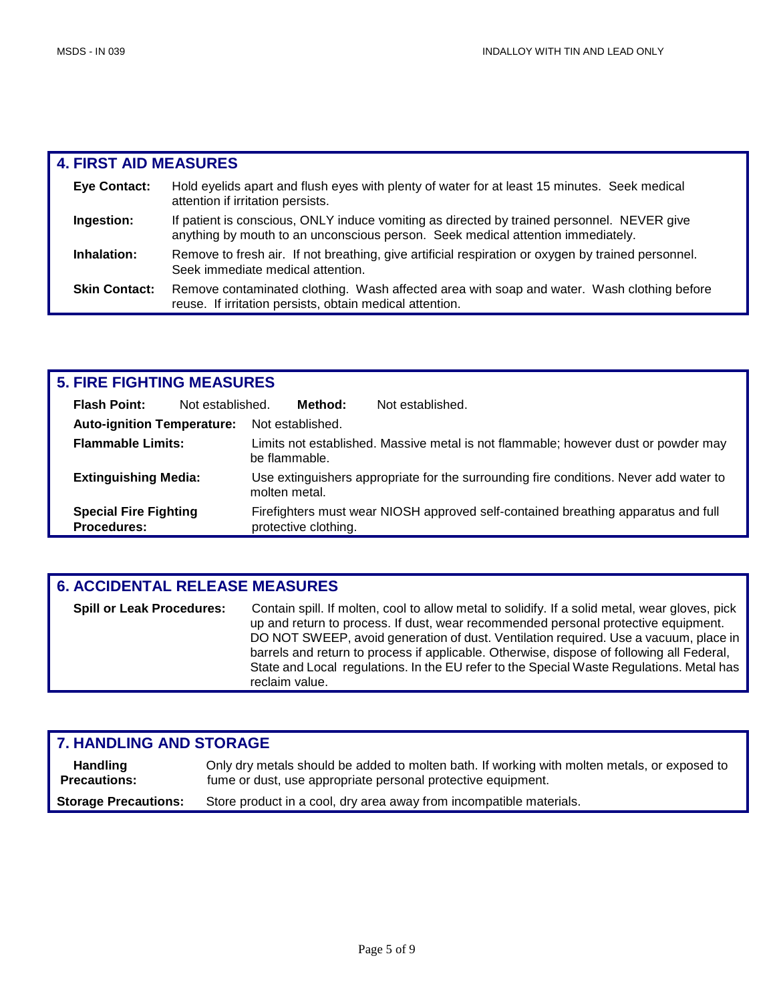| <b>4. FIRST AID MEASURES</b> |                                                                                                                                                                               |
|------------------------------|-------------------------------------------------------------------------------------------------------------------------------------------------------------------------------|
| <b>Eye Contact:</b>          | Hold eyelids apart and flush eyes with plenty of water for at least 15 minutes. Seek medical<br>attention if irritation persists.                                             |
| Ingestion:                   | If patient is conscious, ONLY induce vomiting as directed by trained personnel. NEVER give<br>anything by mouth to an unconscious person. Seek medical attention immediately. |
| Inhalation:                  | Remove to fresh air. If not breathing, give artificial respiration or oxygen by trained personnel.<br>Seek immediate medical attention.                                       |
| <b>Skin Contact:</b>         | Remove contaminated clothing. Wash affected area with soap and water. Wash clothing before<br>reuse. If irritation persists, obtain medical attention.                        |

| <b>5. FIRE FIGHTING MEASURES</b>                   |                  |               |                      |                                                                                       |
|----------------------------------------------------|------------------|---------------|----------------------|---------------------------------------------------------------------------------------|
| <b>Flash Point:</b>                                | Not established. |               | Method:              | Not established.                                                                      |
| <b>Auto-ignition Temperature:</b>                  |                  |               | Not established.     |                                                                                       |
| <b>Flammable Limits:</b>                           |                  | be flammable. |                      | Limits not established. Massive metal is not flammable; however dust or powder may    |
| <b>Extinguishing Media:</b>                        |                  | molten metal. |                      | Use extinguishers appropriate for the surrounding fire conditions. Never add water to |
| <b>Special Fire Fighting</b><br><b>Procedures:</b> |                  |               | protective clothing. | Firefighters must wear NIOSH approved self-contained breathing apparatus and full     |

| <b>6. ACCIDENTAL RELEASE MEASURES</b> |                                                                                                                                                                                                                                                                                                                                                                                                                                                                                         |  |  |  |
|---------------------------------------|-----------------------------------------------------------------------------------------------------------------------------------------------------------------------------------------------------------------------------------------------------------------------------------------------------------------------------------------------------------------------------------------------------------------------------------------------------------------------------------------|--|--|--|
| <b>Spill or Leak Procedures:</b>      | Contain spill. If molten, cool to allow metal to solidify. If a solid metal, wear gloves, pick<br>up and return to process. If dust, wear recommended personal protective equipment.<br>DO NOT SWEEP, avoid generation of dust. Ventilation required. Use a vacuum, place in<br>barrels and return to process if applicable. Otherwise, dispose of following all Federal,<br>State and Local regulations. In the EU refer to the Special Waste Regulations. Metal has<br>reclaim value. |  |  |  |

| <b>7. HANDLING AND STORAGE</b>         |                                                                                                                                                              |  |  |
|----------------------------------------|--------------------------------------------------------------------------------------------------------------------------------------------------------------|--|--|
| <b>Handling</b><br><b>Precautions:</b> | Only dry metals should be added to molten bath. If working with molten metals, or exposed to<br>fume or dust, use appropriate personal protective equipment. |  |  |
| <b>Storage Precautions:</b>            | Store product in a cool, dry area away from incompatible materials.                                                                                          |  |  |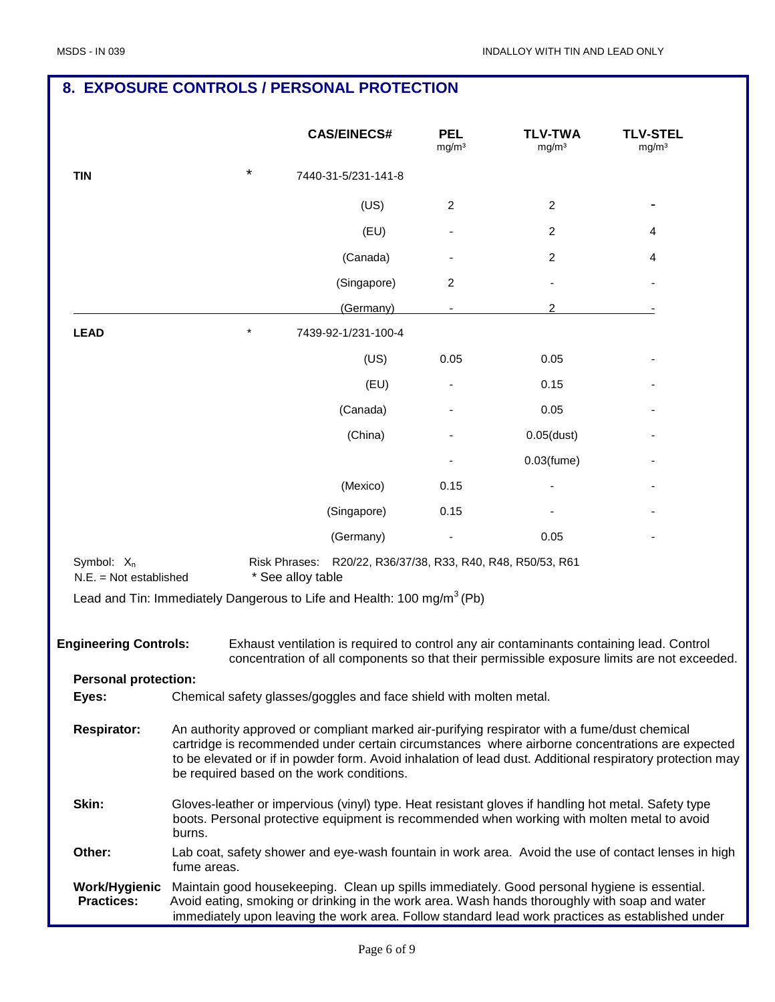## **8. EXPOSURE CONTROLS / PERSONAL PROTECTION**

|                                                    |             |                                    | <b>CAS/EINECS#</b>                                                                 | <b>PEL</b><br>mg/m <sup>3</sup> | <b>TLV-TWA</b><br>mg/m <sup>3</sup>                                                                                                                                                                | <b>TLV-STEL</b><br>mg/m <sup>3</sup>                                                                                                                                                                         |
|----------------------------------------------------|-------------|------------------------------------|------------------------------------------------------------------------------------|---------------------------------|----------------------------------------------------------------------------------------------------------------------------------------------------------------------------------------------------|--------------------------------------------------------------------------------------------------------------------------------------------------------------------------------------------------------------|
| <b>TIN</b>                                         |             | *                                  | 7440-31-5/231-141-8                                                                |                                 |                                                                                                                                                                                                    |                                                                                                                                                                                                              |
|                                                    |             |                                    | (US)                                                                               | 2                               | 2                                                                                                                                                                                                  |                                                                                                                                                                                                              |
|                                                    |             |                                    | (EU)                                                                               |                                 | 2                                                                                                                                                                                                  | 4                                                                                                                                                                                                            |
|                                                    |             |                                    | (Canada)                                                                           |                                 | 2                                                                                                                                                                                                  | 4                                                                                                                                                                                                            |
|                                                    |             |                                    | (Singapore)                                                                        | 2                               |                                                                                                                                                                                                    |                                                                                                                                                                                                              |
|                                                    |             |                                    | (Germany)                                                                          |                                 | 2                                                                                                                                                                                                  |                                                                                                                                                                                                              |
| <b>LEAD</b>                                        |             |                                    | 7439-92-1/231-100-4                                                                |                                 |                                                                                                                                                                                                    |                                                                                                                                                                                                              |
|                                                    |             |                                    | (US)                                                                               | 0.05                            | 0.05                                                                                                                                                                                               |                                                                                                                                                                                                              |
|                                                    |             |                                    | (EU)                                                                               |                                 | 0.15                                                                                                                                                                                               |                                                                                                                                                                                                              |
|                                                    |             |                                    | (Canada)                                                                           |                                 | 0.05                                                                                                                                                                                               |                                                                                                                                                                                                              |
|                                                    |             |                                    | (China)                                                                            |                                 | $0.05$ (dust)                                                                                                                                                                                      |                                                                                                                                                                                                              |
|                                                    |             |                                    |                                                                                    |                                 | $0.03$ (fume)                                                                                                                                                                                      |                                                                                                                                                                                                              |
|                                                    |             |                                    | (Mexico)                                                                           | 0.15                            |                                                                                                                                                                                                    |                                                                                                                                                                                                              |
|                                                    |             |                                    | (Singapore)                                                                        | 0.15                            |                                                                                                                                                                                                    |                                                                                                                                                                                                              |
|                                                    |             |                                    | (Germany)                                                                          |                                 | 0.05                                                                                                                                                                                               |                                                                                                                                                                                                              |
| Symbol: X <sub>n</sub><br>$N.E. = Not established$ |             | Risk Phrases:<br>* See alloy table |                                                                                    |                                 | R20/22, R36/37/38, R33, R40, R48, R50/53, R61                                                                                                                                                      |                                                                                                                                                                                                              |
|                                                    |             |                                    | Lead and Tin: Immediately Dangerous to Life and Health: 100 mg/m <sup>3</sup> (Pb) |                                 |                                                                                                                                                                                                    |                                                                                                                                                                                                              |
| <b>Engineering Controls:</b>                       |             |                                    |                                                                                    |                                 | Exhaust ventilation is required to control any air contaminants containing lead. Control                                                                                                           | concentration of all components so that their permissible exposure limits are not exceeded.                                                                                                                  |
| <b>Personal protection:</b><br>Eyes:               |             |                                    | Chemical safety glasses/goggles and face shield with molten metal.                 |                                 |                                                                                                                                                                                                    |                                                                                                                                                                                                              |
|                                                    |             |                                    |                                                                                    |                                 |                                                                                                                                                                                                    |                                                                                                                                                                                                              |
| <b>Respirator:</b>                                 |             |                                    | be required based on the work conditions.                                          |                                 | An authority approved or compliant marked air-purifying respirator with a fume/dust chemical                                                                                                       | cartridge is recommended under certain circumstances where airborne concentrations are expected<br>to be elevated or if in powder form. Avoid inhalation of lead dust. Additional respiratory protection may |
| Skin:                                              | burns.      |                                    |                                                                                    |                                 | Gloves-leather or impervious (vinyl) type. Heat resistant gloves if handling hot metal. Safety type<br>boots. Personal protective equipment is recommended when working with molten metal to avoid |                                                                                                                                                                                                              |
| Other:                                             | fume areas. |                                    |                                                                                    |                                 |                                                                                                                                                                                                    | Lab coat, safety shower and eye-wash fountain in work area. Avoid the use of contact lenses in high                                                                                                          |
| Work/Hygienic<br><b>Practices:</b>                 |             |                                    |                                                                                    |                                 | Maintain good housekeeping. Clean up spills immediately. Good personal hygiene is essential.<br>Avoid eating, smoking or drinking in the work area. Wash hands thoroughly with soap and water      | immediately upon leaving the work area. Follow standard lead work practices as established under                                                                                                             |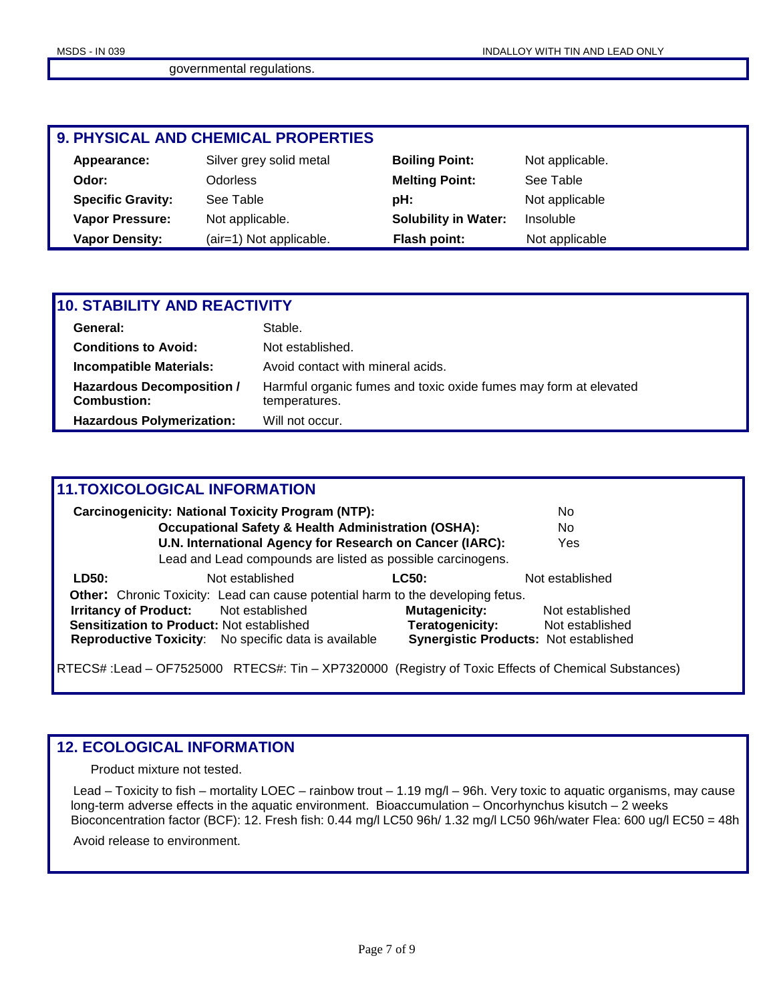## **9. PHYSICAL AND CHEMICAL PROPERTIES**

| Appearance:              | Silver grey solid metal | <b>Boiling Point:</b>       | Not applicable. |
|--------------------------|-------------------------|-----------------------------|-----------------|
| Odor:                    | Odorless                | <b>Melting Point:</b>       | See Table       |
| <b>Specific Gravity:</b> | See Table               | pH:                         | Not applicable  |
| <b>Vapor Pressure:</b>   | Not applicable.         | <b>Solubility in Water:</b> | Insoluble       |
| <b>Vapor Density:</b>    | (air=1) Not applicable. | Flash point:                | Not applicable  |

| <b>10. STABILITY AND REACTIVITY</b>                    |                                                                                   |  |  |  |
|--------------------------------------------------------|-----------------------------------------------------------------------------------|--|--|--|
| General:                                               | Stable.                                                                           |  |  |  |
| <b>Conditions to Avoid:</b>                            | Not established.                                                                  |  |  |  |
| <b>Incompatible Materials:</b>                         | Avoid contact with mineral acids.                                                 |  |  |  |
| <b>Hazardous Decomposition /</b><br><b>Combustion:</b> | Harmful organic fumes and toxic oxide fumes may form at elevated<br>temperatures. |  |  |  |
| <b>Hazardous Polymerization:</b>                       | Will not occur.                                                                   |  |  |  |

## **11.TOXICOLOGICAL INFORMATION**

|                              | <b>Carcinogenicity: National Toxicity Program (NTP):</b>                               |                      | No                                    |
|------------------------------|----------------------------------------------------------------------------------------|----------------------|---------------------------------------|
|                              | <b>Occupational Safety &amp; Health Administration (OSHA):</b>                         |                      | No                                    |
|                              | U.N. International Agency for Research on Cancer (IARC):                               |                      | Yes                                   |
|                              | Lead and Lead compounds are listed as possible carcinogens.                            |                      |                                       |
| LD50:                        | Not established                                                                        | <b>LC50:</b>         | Not established                       |
|                              | <b>Other:</b> Chronic Toxicity: Lead can cause potential harm to the developing fetus. |                      |                                       |
| <b>Irritancy of Product:</b> | Not established                                                                        | <b>Mutagenicity:</b> | Not established                       |
|                              | <b>Sensitization to Product: Not established</b>                                       | Teratogenicity:      | Not established                       |
|                              | <b>Reproductive Toxicity:</b> No specific data is available                            |                      | Synergistic Products: Not established |

RTECS# :Lead – OF7525000 RTECS#: Tin – XP7320000 (Registry of Toxic Effects of Chemical Substances)

## **12. ECOLOGICAL INFORMATION**

Product mixture not tested.

 Lead – Toxicity to fish – mortality LOEC – rainbow trout – 1.19 mg/l – 96h. Very toxic to aquatic organisms, may cause long-term adverse effects in the aquatic environment. Bioaccumulation – Oncorhynchus kisutch – 2 weeks Bioconcentration factor (BCF): 12. Fresh fish: 0.44 mg/l LC50 96h/ 1.32 mg/l LC50 96h/water Flea: 600 ug/l EC50 = 48h

Avoid release to environment.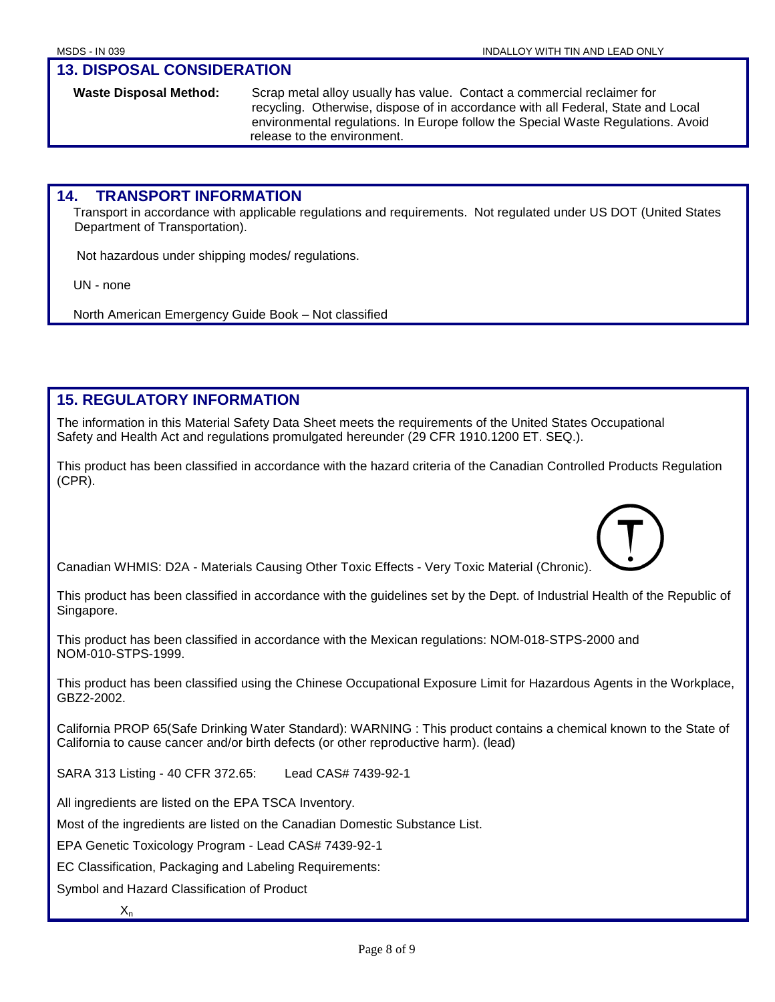### **13. DISPOSAL CONSIDERATION**

**Waste Disposal Method:** Scrap metal alloy usually has value. Contact a commercial reclaimer for recycling. Otherwise, dispose of in accordance with all Federal, State and Local environmental regulations. In Europe follow the Special Waste Regulations. Avoid release to the environment.

## **14. TRANSPORT INFORMATION**

Transport in accordance with applicable regulations and requirements. Not regulated under US DOT (United States Department of Transportation).

Not hazardous under shipping modes/ regulations.

UN - none

North American Emergency Guide Book – Not classified

## **15. REGULATORY INFORMATION**

The information in this Material Safety Data Sheet meets the requirements of the United States Occupational Safety and Health Act and regulations promulgated hereunder (29 CFR 1910.1200 ET. SEQ.).

This product has been classified in accordance with the hazard criteria of the Canadian Controlled Products Regulation (CPR).

Canadian WHMIS: D2A - Materials Causing Other Toxic Effects - Very Toxic Material (Chronic).

This product has been classified in accordance with the guidelines set by the Dept. of Industrial Health of the Republic of Singapore.

This product has been classified in accordance with the Mexican regulations: NOM-018-STPS-2000 and NOM-010-STPS-1999.

This product has been classified using the Chinese Occupational Exposure Limit for Hazardous Agents in the Workplace, GBZ2-2002.

California PROP 65(Safe Drinking Water Standard): WARNING : This product contains a chemical known to the State of California to cause cancer and/or birth defects (or other reproductive harm). (lead)

SARA 313 Listing - 40 CFR 372.65: Lead CAS# 7439-92-1

All ingredients are listed on the EPA TSCA Inventory.

Most of the ingredients are listed on the Canadian Domestic Substance List.

EPA Genetic Toxicology Program - Lead CAS# 7439-92-1

EC Classification, Packaging and Labeling Requirements:

Symbol and Hazard Classification of Product

 $X_n$